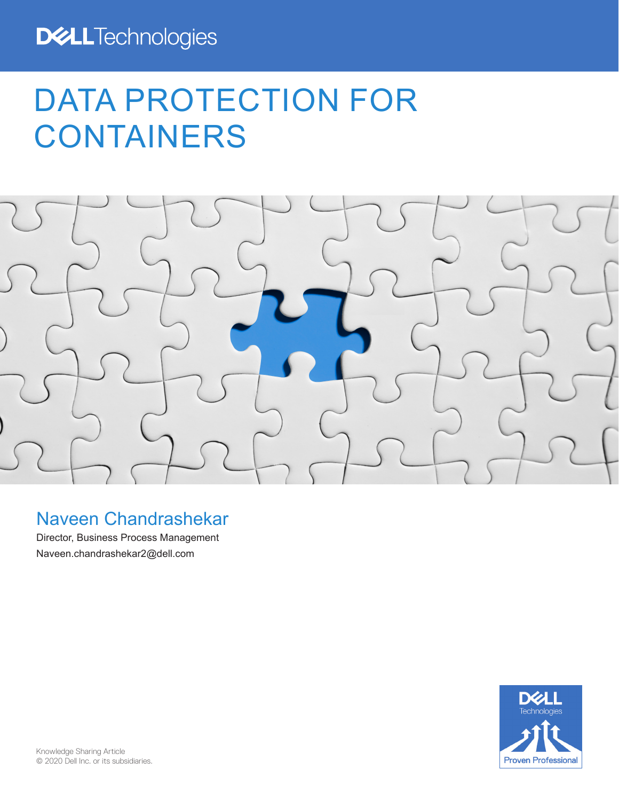# DATA PROTECTION FOR CONTAINERS



# Naveen Chandrashekar

Director, Business Process Management Naveen.chandrashekar2@dell.com

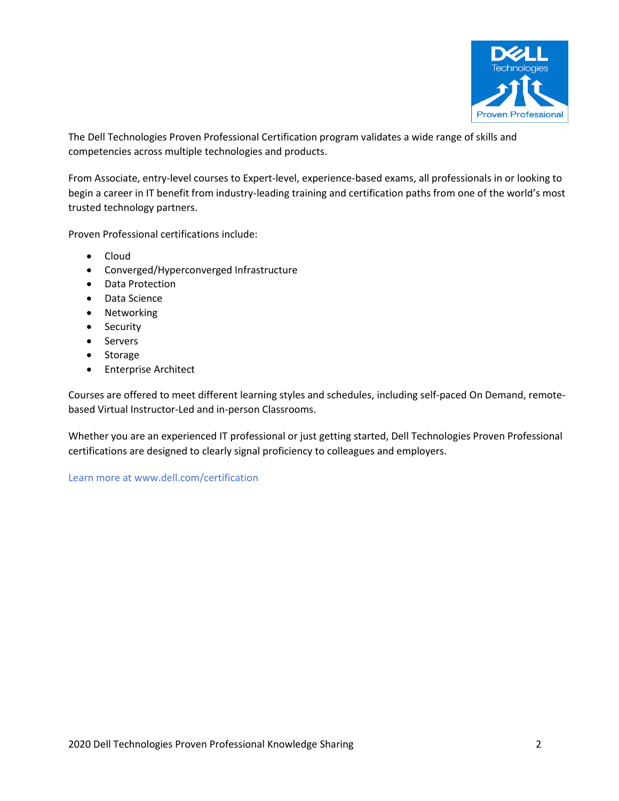

The Dell Technologies Proven Professional Certification program validates a wide range of skills and competencies across multiple technologies and products.

From Associate, entry-level courses to Expert-level, experience-based exams, all professionals in or looking to begin a career in IT benefit from industry-leading training and certification paths from one of the world's most trusted technology partners.

Proven Professional certifications include:

- Cloud
- Converged/Hyperconverged Infrastructure
- Data Protection
- Data Science
- **Networking**
- Security
- **Servers**
- **Storage**
- Enterprise Architect

Courses are offered to meet different learning styles and schedules, including self-paced On Demand, remotebased Virtual Instructor-Led and in-person Classrooms.

Whether you are an experienced IT professional or just getting started, Dell Technologies Proven Professional certifications are designed to clearly signal proficiency to colleagues and employers.

Learn more at www.dell.com/certification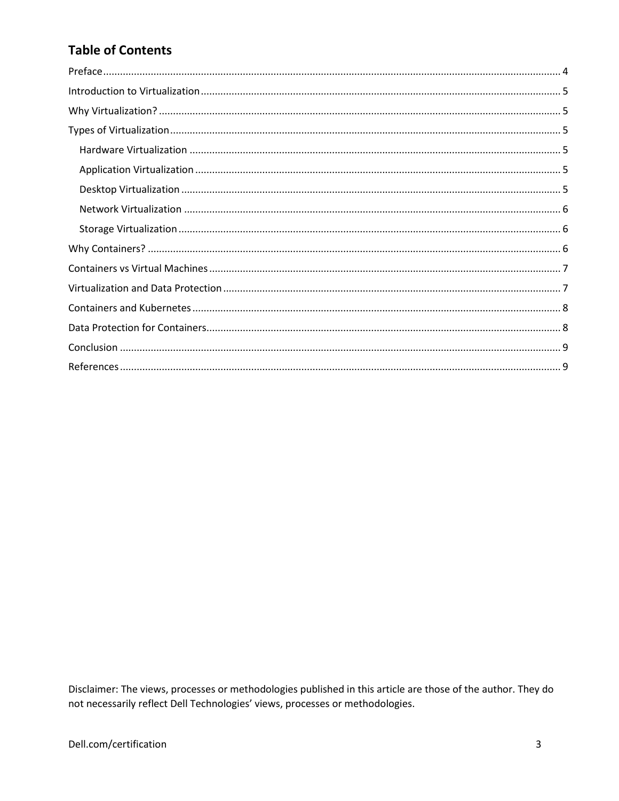# **Table of Contents**

Disclaimer: The views, processes or methodologies published in this article are those of the author. They do not necessarily reflect Dell Technologies' views, processes or methodologies.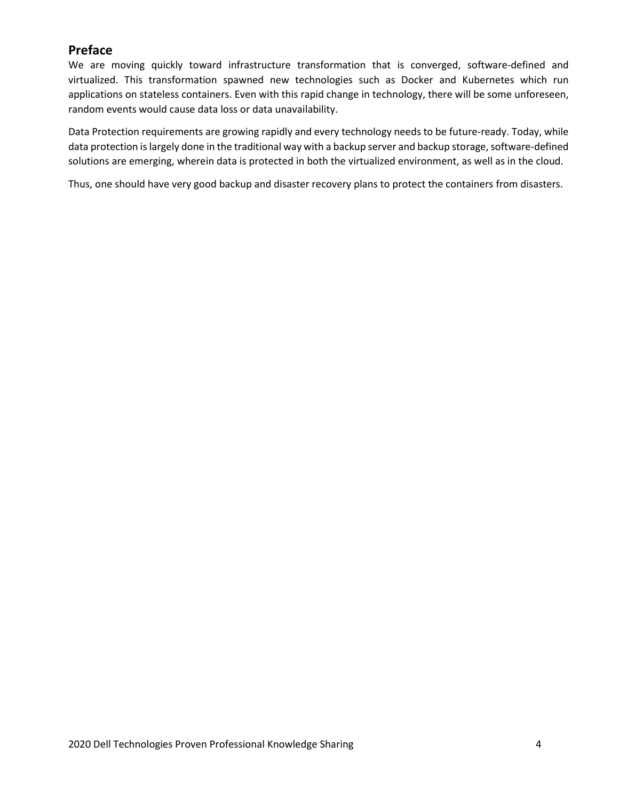# <span id="page-3-0"></span>**Preface**

We are moving quickly toward infrastructure transformation that is converged, software-defined and virtualized. This transformation spawned new technologies such as Docker and Kubernetes which run applications on stateless containers. Even with this rapid change in technology, there will be some unforeseen, random events would cause data loss or data unavailability.

Data Protection requirements are growing rapidly and every technology needs to be future-ready. Today, while data protection is largely done in the traditional way with a backup server and backup storage, software-defined solutions are emerging, wherein data is protected in both the virtualized environment, as well as in the cloud.

Thus, one should have very good backup and disaster recovery plans to protect the containers from disasters.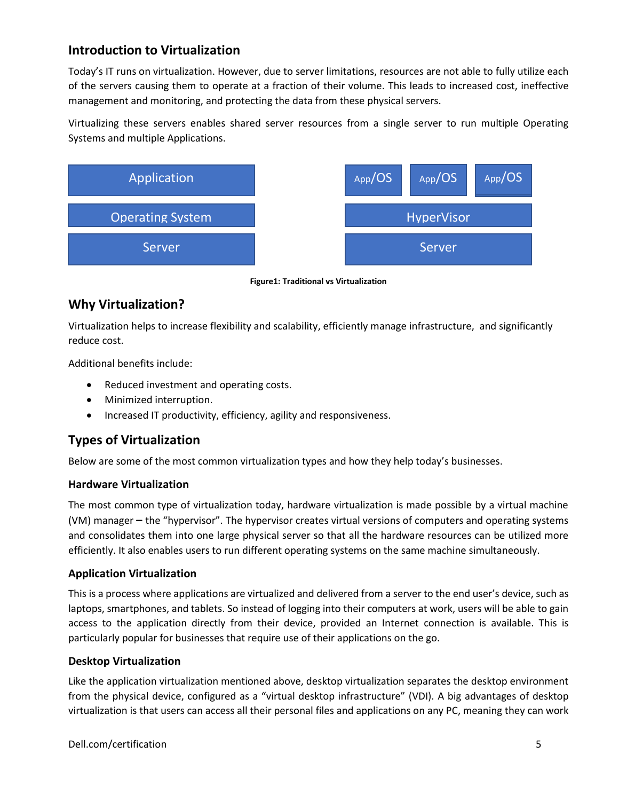# <span id="page-4-0"></span>**Introduction to Virtualization**

Today's IT runs on virtualization. However, due to server limitations, resources are not able to fully utilize each of the servers causing them to operate at a fraction of their volume. This leads to increased cost, ineffective management and monitoring, and protecting the data from these physical servers.

Virtualizing these servers enables shared server resources from a single server to run multiple Operating Systems and multiple Applications.



**Figure1: Traditional vs Virtualization**

# <span id="page-4-1"></span>**Why Virtualization?**

Virtualization helps to increase flexibility and scalability, efficiently manage infrastructure, and significantly reduce cost.

Additional benefits include:

- Reduced investment and operating costs.
- Minimized interruption.
- Increased IT productivity, efficiency, agility and responsiveness.

# <span id="page-4-2"></span>**Types of Virtualization**

Below are some of the most common virtualization types and how they help today's businesses.

## <span id="page-4-3"></span>**Hardware Virtualization**

The most common type of virtualization today, hardware virtualization is made possible by a virtual machine (VM) manager **–** the "hypervisor". The hypervisor creates virtual versions of computers and operating systems and consolidates them into one large physical server so that all the hardware resources can be utilized more efficiently. It also enables users to run different operating systems on the same machine simultaneously.

## <span id="page-4-4"></span>**Application Virtualization**

This is a process where applications are virtualized and delivered from a server to the end user's device, such as laptops, smartphones, and tablets. So instead of logging into their computers at work, users will be able to gain access to the application directly from their device, provided an Internet connection is available. This is particularly popular for businesses that require use of their applications on the go.

## <span id="page-4-5"></span>**Desktop Virtualization**

Like the application virtualization mentioned above, desktop virtualization separates the desktop environment from the physical device, configured as a "virtual desktop infrastructure" (VDI). A big advantages of desktop virtualization is that users can access all their personal files and applications on any PC, meaning they can work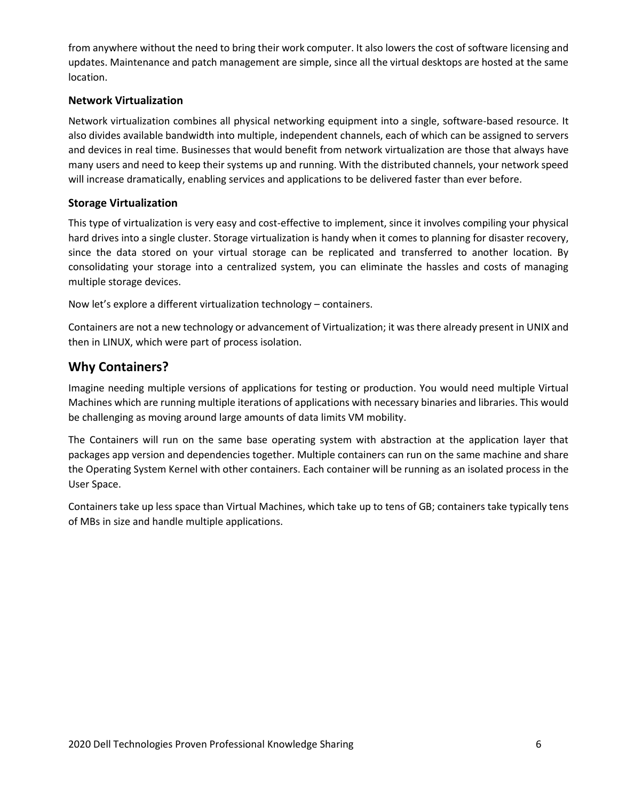from anywhere without the need to bring their work computer. It also lowers the cost of software licensing and updates. Maintenance and patch management are simple, since all the virtual desktops are hosted at the same location.

#### <span id="page-5-0"></span>**Network Virtualization**

Network virtualization combines all physical networking equipment into a single, software-based resource. It also divides available bandwidth into multiple, independent channels, each of which can be assigned to servers and devices in real time. Businesses that would benefit from network virtualization are those that always have many users and need to keep their systems up and running. With the distributed channels, your network speed will increase dramatically, enabling services and applications to be delivered faster than ever before.

#### <span id="page-5-1"></span>**Storage Virtualization**

This type of virtualization is very easy and cost-effective to implement, since it involves compiling your physical hard drives into a single cluster. Storage virtualization is handy when it comes to planning for disaster recovery, since the data stored on your virtual storage can be replicated and transferred to another location. By consolidating your storage into a centralized system, you can eliminate the hassles and costs of managing multiple storage devices.

Now let's explore a different virtualization technology – containers.

Containers are not a new technology or advancement of Virtualization; it was there already present in UNIX and then in LINUX, which were part of process isolation.

## <span id="page-5-2"></span>**Why Containers?**

Imagine needing multiple versions of applications for testing or production. You would need multiple Virtual Machines which are running multiple iterations of applications with necessary binaries and libraries. This would be challenging as moving around large amounts of data limits VM mobility.

The Containers will run on the same base operating system with abstraction at the application layer that packages app version and dependencies together. Multiple containers can run on the same machine and share the Operating System Kernel with other containers. Each container will be running as an isolated process in the User Space.

Containers take up less space than Virtual Machines, which take up to tens of GB; containers take typically tens of MBs in size and handle multiple applications.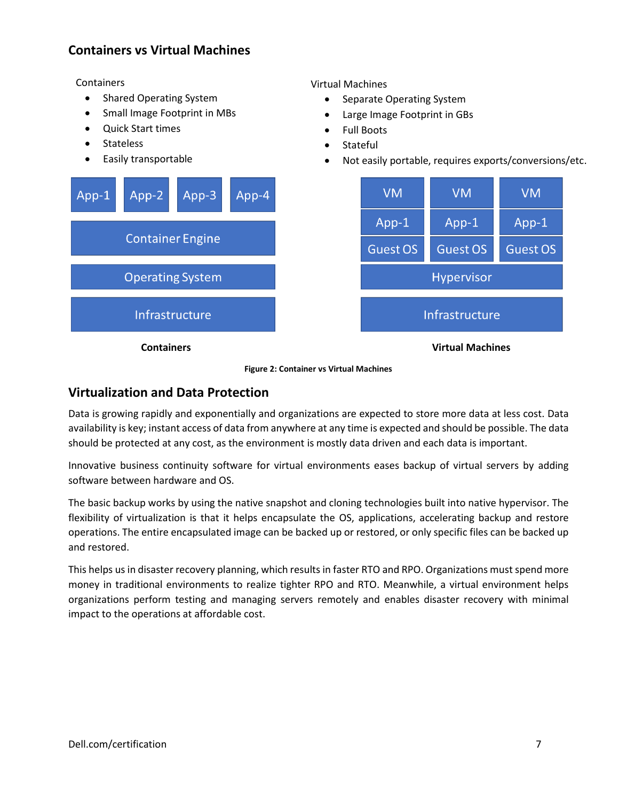# <span id="page-6-0"></span>**Containers vs Virtual Machines**

**Containers** 

- Shared Operating System
- Small Image Footprint in MBs
- Quick Start times
- **Stateless**
- Easily transportable

Virtual Machines

- Separate Operating System
- Large Image Footprint in GBs
- Full Boots
- Stateful
- Not easily portable, requires exports/conversions/etc.



**Figure 2: Container vs Virtual Machines**

## <span id="page-6-1"></span>**Virtualization and Data Protection**

Data is growing rapidly and exponentially and organizations are expected to store more data at less cost. Data availability is key; instant access of data from anywhere at any time is expected and should be possible. The data should be protected at any cost, as the environment is mostly data driven and each data is important.

Innovative business continuity software for virtual environments eases backup of virtual servers by adding software between hardware and OS.

The basic backup works by using the native snapshot and cloning technologies built into native hypervisor. The flexibility of virtualization is that it helps encapsulate the OS, applications, accelerating backup and restore operations. The entire encapsulated image can be backed up or restored, or only specific files can be backed up and restored.

This helps us in disaster recovery planning, which results in faster RTO and RPO. Organizations must spend more money in traditional environments to realize tighter RPO and RTO. Meanwhile, a virtual environment helps organizations perform testing and managing servers remotely and enables disaster recovery with minimal impact to the operations at affordable cost.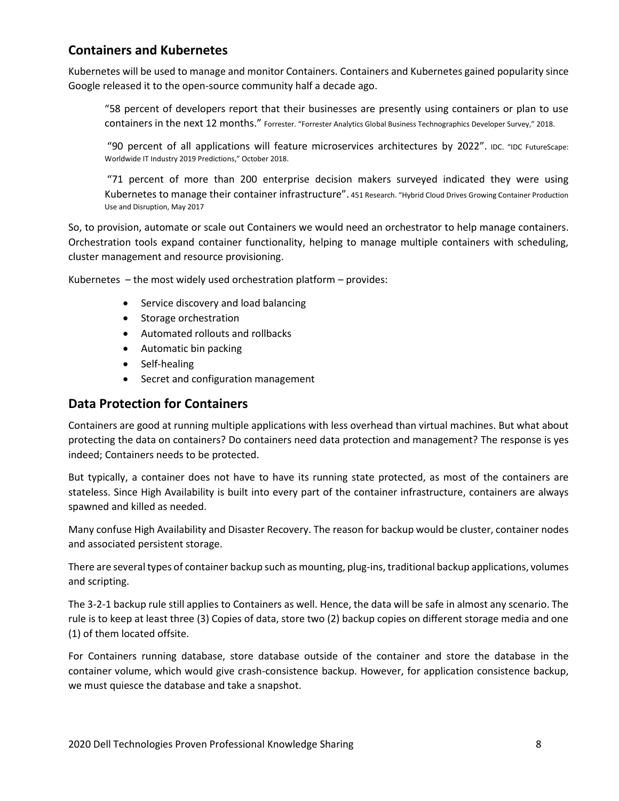# <span id="page-7-0"></span>**Containers and Kubernetes**

Kubernetes will be used to manage and monitor Containers. Containers and Kubernetes gained popularity since Google released it to the open-source community half a decade ago.

"58 percent of developers report that their businesses are presently using containers or plan to use containers in the next 12 months." Forrester. "Forrester Analytics Global Business Technographics Developer Survey," 2018.

"90 percent of all applications will feature microservices architectures by 2022". IDC. "IDC FutureScape: Worldwide IT Industry 2019 Predictions," October 2018.

"71 percent of more than 200 enterprise decision makers surveyed indicated they were using Kubernetes to manage their container infrastructure". 451 Research. "Hybrid Cloud Drives Growing Container Production Use and Disruption, May 2017

So, to provision, automate or scale out Containers we would need an orchestrator to help manage containers. Orchestration tools expand container functionality, helping to manage multiple containers with scheduling, cluster management and resource provisioning.

Kubernetes – the most widely used orchestration platform – provides:

- Service discovery and load balancing
- Storage orchestration
- Automated rollouts and rollbacks
- Automatic bin packing
- Self-healing
- Secret and configuration management

## <span id="page-7-1"></span>**Data Protection for Containers**

Containers are good at running multiple applications with less overhead than virtual machines. But what about protecting the data on containers? Do containers need data protection and management? The response is yes indeed; Containers needs to be protected.

But typically, a container does not have to have its running state protected, as most of the containers are stateless. Since High Availability is built into every part of the container infrastructure, containers are always spawned and killed as needed.

Many confuse High Availability and Disaster Recovery. The reason for backup would be cluster, container nodes and associated persistent storage.

There are several types of container backup such as mounting, plug-ins, traditional backup applications, volumes and scripting.

The 3-2-1 backup rule still applies to Containers as well. Hence, the data will be safe in almost any scenario. The rule is to keep at least three (3) Copies of data, store two (2) backup copies on different storage media and one (1) of them located offsite.

For Containers running database, store database outside of the container and store the database in the container volume, which would give crash-consistence backup. However, for application consistence backup, we must quiesce the database and take a snapshot.